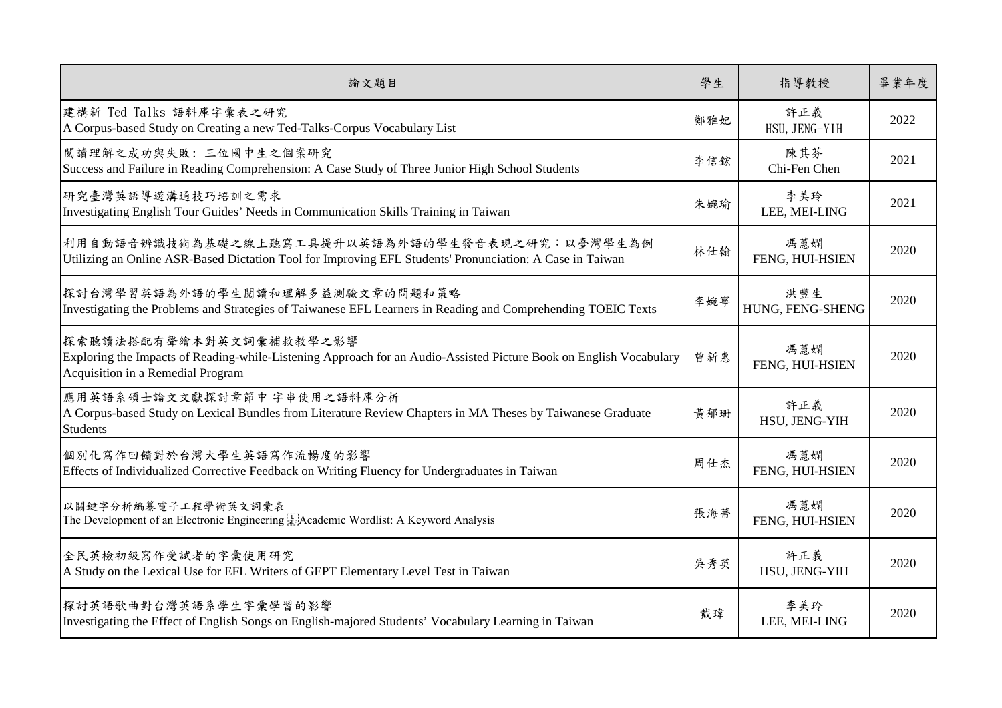| 論文題目                                                                                                                                                                               | 學生  | 指導教授                    | 畢業年度 |
|------------------------------------------------------------------------------------------------------------------------------------------------------------------------------------|-----|-------------------------|------|
| 建構新 Ted Talks 語料庫字彙表之研究<br>A Corpus-based Study on Creating a new Ted-Talks-Corpus Vocabulary List                                                                                 | 鄭雅妃 | 許正義<br>HSU, JENG-YIH    | 2022 |
| 閲讀理解之成功與失敗: 三位國中生之個案研究<br>Success and Failure in Reading Comprehension: A Case Study of Three Junior High School Students                                                          | 李信鋐 | 陳其芬<br>Chi-Fen Chen     | 2021 |
| 研究臺灣英語導遊溝通技巧培訓之需求<br>Investigating English Tour Guides' Needs in Communication Skills Training in Taiwan                                                                           | 朱婉瑜 | 李美玲<br>LEE, MEI-LING    | 2021 |
| 利用自動語音辨識技術為基礎之線上聽寫工具提升以英語為外語的學生發音表現之研究;以臺灣學生為例<br>Utilizing an Online ASR-Based Dictation Tool for Improving EFL Students' Pronunciation: A Case in Taiwan                         | 林仕翰 | 馮蕙嫻<br>FENG, HUI-HSIEN  | 2020 |
| 探討台灣學習英語為外語的學生閱讀和理解多益測驗文章的問題和策略<br>Investigating the Problems and Strategies of Taiwanese EFL Learners in Reading and Comprehending TOEIC Texts                                    | 李婉寧 | 洪豐生<br>HUNG, FENG-SHENG | 2020 |
| 探索聽讀法搭配有聲繪本對英文詞彙補救教學之影響<br>Exploring the Impacts of Reading-while-Listening Approach for an Audio-Assisted Picture Book on English Vocabulary<br>Acquisition in a Remedial Program | 曾新惠 | 馮蕙嫻<br>FENG, HUI-HSIEN  | 2020 |
| 應用英語系碩士論文文獻探討章節中字串使用之語料庫分析<br>A Corpus-based Study on Lexical Bundles from Literature Review Chapters in MA Theses by Taiwanese Graduate<br><b>Students</b>                        | 黃郁珊 | 許正義<br>HSU, JENG-YIH    | 2020 |
| 個別化寫作回饋對於台灣大學生英語寫作流暢度的影響<br>Effects of Individualized Corrective Feedback on Writing Fluency for Undergraduates in Taiwan                                                          | 周仕杰 | 馮蕙嫻<br>FENG, HUI-HSIEN  | 2020 |
| 以關鍵字分析編纂電子工程學術英文詞彙表<br>The Development of an Electronic Engineering FRA cademic Wordlist: A Keyword Analysis                                                                       | 張海蒂 | 馮蕙嫻<br>FENG, HUI-HSIEN  | 2020 |
| 全民英檢初級寫作受試者的字彙使用研究<br>A Study on the Lexical Use for EFL Writers of GEPT Elementary Level Test in Taiwan                                                                           | 吳秀英 | 許正義<br>HSU, JENG-YIH    | 2020 |
| 探討英語歌曲對台灣英語系學生字彙學習的影響<br>Investigating the Effect of English Songs on English-majored Students' Vocabulary Learning in Taiwan                                                      | 戴瑋  | 李美玲<br>LEE, MEI-LING    | 2020 |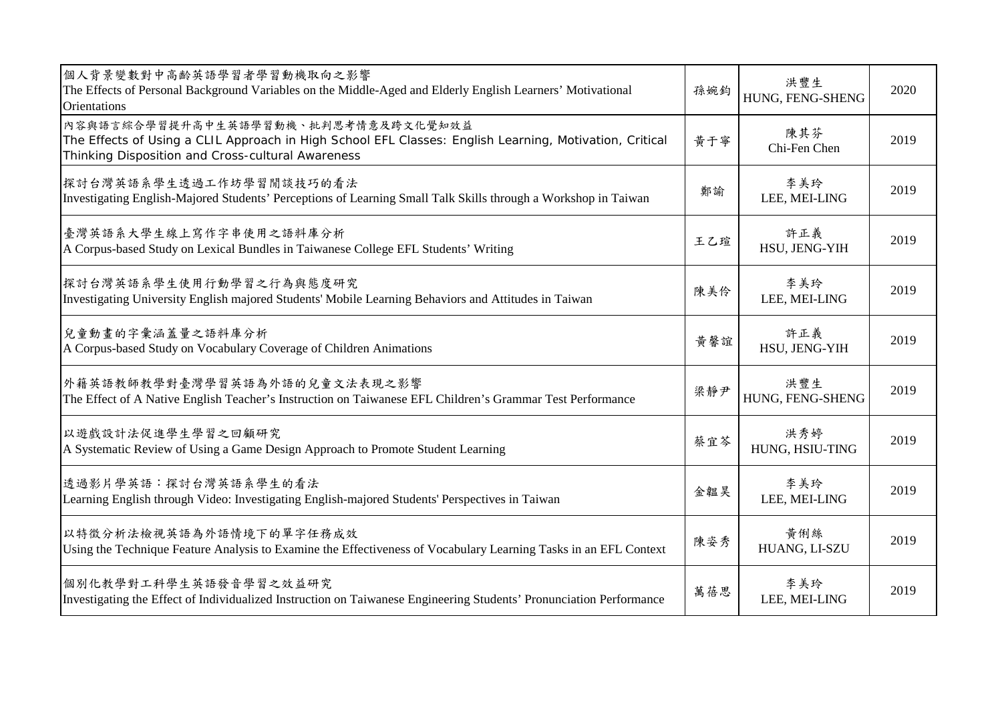| 個人背景變數對中高齡英語學習者學習動機取向之影響<br>The Effects of Personal Background Variables on the Middle-Aged and Elderly English Learners' Motivational<br><b>Orientations</b>                                       | 孫婉鈞 | 洪豐生<br>HUNG, FENG-SHENG | 2020 |
|-----------------------------------------------------------------------------------------------------------------------------------------------------------------------------------------------------|-----|-------------------------|------|
| 內容與語言綜合學習提升高中生英語學習動機、批判思考情意及跨文化覺知效益<br>The Effects of Using a CLIL Approach in High School EFL Classes: English Learning, Motivation, Critical<br>Thinking Disposition and Cross-cultural Awareness | 黄于寧 | 陳其芬<br>Chi-Fen Chen     | 2019 |
| 探討台灣英語系學生透過工作坊學習閒談技巧的看法<br>Investigating English-Majored Students' Perceptions of Learning Small Talk Skills through a Workshop in Taiwan                                                           | 鄭諭  | 李美玲<br>LEE, MEI-LING    | 2019 |
| 臺灣英語系大學生線上寫作字串使用之語料庫分析<br>A Corpus-based Study on Lexical Bundles in Taiwanese College EFL Students' Writing                                                                                        | 王乙瑄 | 許正義<br>HSU, JENG-YIH    | 2019 |
| 探討台灣英語系學生使用行動學習之行為與態度研究<br>Investigating University English majored Students' Mobile Learning Behaviors and Attitudes in Taiwan                                                                     | 陳美伶 | 李美玲<br>LEE, MEI-LING    | 2019 |
| 兒童動畫的字彙涵蓋量之語料庫分析<br>A Corpus-based Study on Vocabulary Coverage of Children Animations                                                                                                              | 黃馨誼 | 許正義<br>HSU, JENG-YIH    | 2019 |
| 外籍英語教師教學對臺灣學習英語為外語的兒童文法表現之影響<br>The Effect of A Native English Teacher's Instruction on Taiwanese EFL Children's Grammar Test Performance                                                           | 梁靜尹 | 洪豐生<br>HUNG, FENG-SHENG | 2019 |
| 以遊戲設計法促進學生學習之回顧研究<br>A Systematic Review of Using a Game Design Approach to Promote Student Learning                                                                                                | 蔡宜芩 | 洪秀婷<br>HUNG, HSIU-TING  | 2019 |
| 透過影片學英語:探討台灣英語系學生的看法<br>Learning English through Video: Investigating English-majored Students' Perspectives in Taiwan                                                                              | 金韞昊 | 李美玲<br>LEE, MEI-LING    | 2019 |
| 以特徵分析法檢視英語為外語情境下的單字任務成效<br>Using the Technique Feature Analysis to Examine the Effectiveness of Vocabulary Learning Tasks in an EFL Context                                                         | 陳姿秀 | 黃俐絲<br>HUANG, LI-SZU    | 2019 |
| 個別化教學對工科學生英語發音學習之效益研究<br>Investigating the Effect of Individualized Instruction on Taiwanese Engineering Students' Pronunciation Performance                                                        | 萬蓓思 | 李美玲<br>LEE, MEI-LING    | 2019 |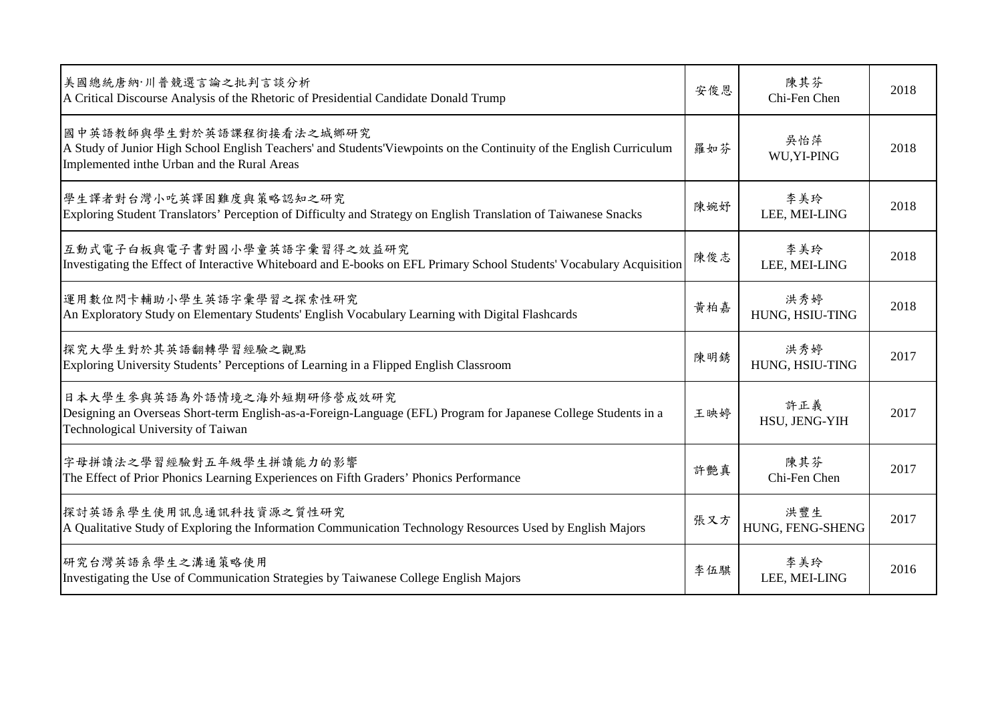| 美國總統唐納·川普競選言論之批判言談分析<br>A Critical Discourse Analysis of the Rhetoric of Presidential Candidate Donald Trump                                                                                   | 安俊恩 | 陳其芬<br>Chi-Fen Chen     | 2018 |
|------------------------------------------------------------------------------------------------------------------------------------------------------------------------------------------------|-----|-------------------------|------|
| 國中英語教師與學生對於英語課程銜接看法之城鄉研究<br>A Study of Junior High School English Teachers' and Students'Viewpoints on the Continuity of the English Curriculum<br>Implemented inthe Urban and the Rural Areas | 羅如芬 | 吳怡萍<br>WU, YI-PING      | 2018 |
| 學生譯者對台灣小吃英譯困難度與策略認知之研究<br>Exploring Student Translators' Perception of Difficulty and Strategy on English Translation of Taiwanese Snacks                                                      | 陳婉妤 | 李美玲<br>LEE, MEI-LING    | 2018 |
| 互動式電子白板與電子書對國小學童英語字彙習得之效益研究<br>Investigating the Effect of Interactive Whiteboard and E-books on EFL Primary School Students' Vocabulary Acquisition                                           | 陳俊志 | 李美玲<br>LEE, MEI-LING    | 2018 |
| 運用數位閃卡輔助小學生英語字彙學習之探索性研究<br>An Exploratory Study on Elementary Students' English Vocabulary Learning with Digital Flashcards                                                                    | 黄柏嘉 | 洪秀婷<br>HUNG, HSIU-TING  | 2018 |
| 探究大學生對於其英語翻轉學習經驗之觀點<br>Exploring University Students' Perceptions of Learning in a Flipped English Classroom                                                                                   | 陳明銹 | 洪秀婷<br>HUNG, HSIU-TING  | 2017 |
| 日本大學生參與英語為外語情境之海外短期研修營成效研究<br>Designing an Overseas Short-term English-as-a-Foreign-Language (EFL) Program for Japanese College Students in a<br>Technological University of Taiwan            | 王映婷 | 許正義<br>HSU, JENG-YIH    | 2017 |
| 字母拼讀法之學習經驗對五年級學生拼讀能力的影響<br>The Effect of Prior Phonics Learning Experiences on Fifth Graders' Phonics Performance                                                                              | 許艷真 | 陳其芬<br>Chi-Fen Chen     | 2017 |
| 探討英語系學生使用訊息通訊科技資源之質性研究<br>A Qualitative Study of Exploring the Information Communication Technology Resources Used by English Majors                                                           | 張又方 | 洪豐生<br>HUNG, FENG-SHENG | 2017 |
| 研究台灣英語系學生之溝通策略使用<br>Investigating the Use of Communication Strategies by Taiwanese College English Majors                                                                                      | 李伍騏 | 李美玲<br>LEE, MEI-LING    | 2016 |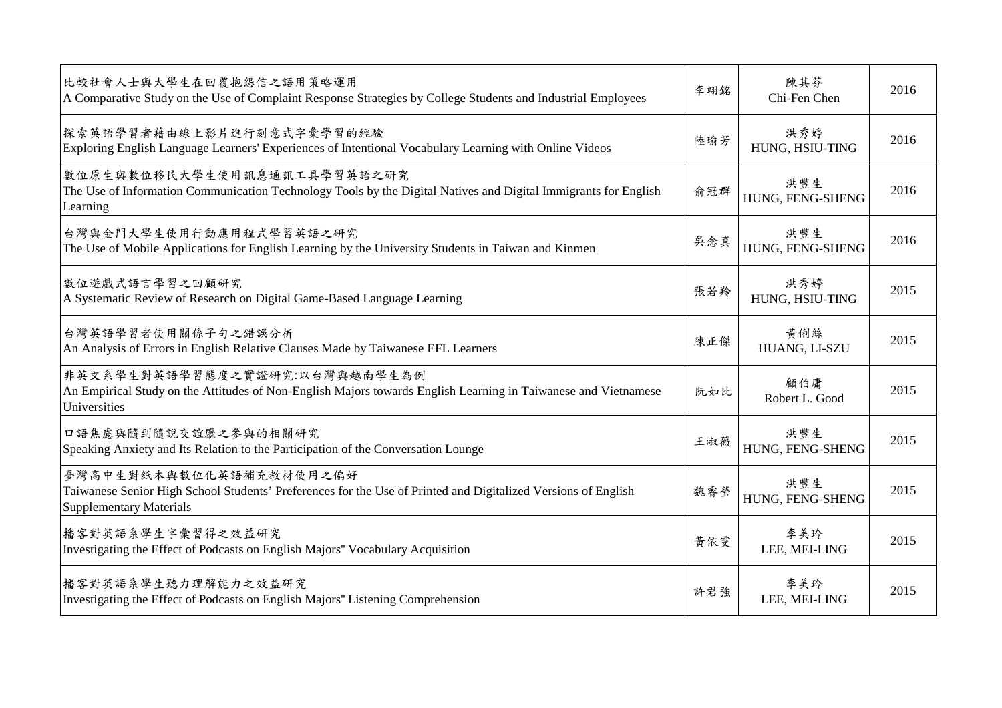| 比較社會人士與大學生在回覆抱怨信之語用策略運用<br>A Comparative Study on the Use of Complaint Response Strategies by College Students and Industrial Employees                                    | 李翊銘 | 陳其芬<br>Chi-Fen Chen     | 2016 |
|----------------------------------------------------------------------------------------------------------------------------------------------------------------------------|-----|-------------------------|------|
| 探索英語學習者藉由線上影片進行刻意式字彙學習的經驗<br>Exploring English Language Learners' Experiences of Intentional Vocabulary Learning with Online Videos                                        | 陸瑜芳 | 洪秀婷<br>HUNG, HSIU-TING  | 2016 |
| 數位原生與數位移民大學生使用訊息通訊工具學習英語之研究<br>The Use of Information Communication Technology Tools by the Digital Natives and Digital Immigrants for English<br>Learning                 | 俞冠群 | 洪豐生<br>HUNG, FENG-SHENG | 2016 |
| 台灣與金門大學生使用行動應用程式學習英語之研究<br>The Use of Mobile Applications for English Learning by the University Students in Taiwan and Kinmen                                             | 吳念真 | 洪豐生<br>HUNG, FENG-SHENG | 2016 |
| 數位遊戲式語言學習之回顧研究<br>A Systematic Review of Research on Digital Game-Based Language Learning                                                                                  | 張若羚 | 洪秀婷<br>HUNG, HSIU-TING  | 2015 |
| 台灣英語學習者使用關係子句之錯誤分析<br>An Analysis of Errors in English Relative Clauses Made by Taiwanese EFL Learners                                                                     | 陳正傑 | 黃俐絲<br>HUANG, LI-SZU    | 2015 |
| 非英文系學生對英語學習態度之實證研究:以台灣與越南學生為例<br>An Empirical Study on the Attitudes of Non-English Majors towards English Learning in Taiwanese and Vietnamese<br>Universities            | 阮如比 | 顧伯庸<br>Robert L. Good   | 2015 |
| 口語焦慮與隨到隨說交誼廳之參與的相關研究<br>Speaking Anxiety and Its Relation to the Participation of the Conversation Lounge                                                                  | 王淑薇 | 洪豐生<br>HUNG, FENG-SHENG | 2015 |
| 臺灣高中生對紙本與數位化英語補充教材使用之偏好<br>Taiwanese Senior High School Students' Preferences for the Use of Printed and Digitalized Versions of English<br><b>Supplementary Materials</b> | 魏睿瑩 | 洪豐生<br>HUNG, FENG-SHENG | 2015 |
| 播客對英語系學生字彙習得之效益研究<br>Investigating the Effect of Podcasts on English Majors" Vocabulary Acquisition                                                                        | 黄依雯 | 李美玲<br>LEE, MEI-LING    | 2015 |
| 播客對英語系學生聽力理解能力之效益研究<br>Investigating the Effect of Podcasts on English Majors" Listening Comprehension                                                                     | 許君強 | 李美玲<br>LEE, MEI-LING    | 2015 |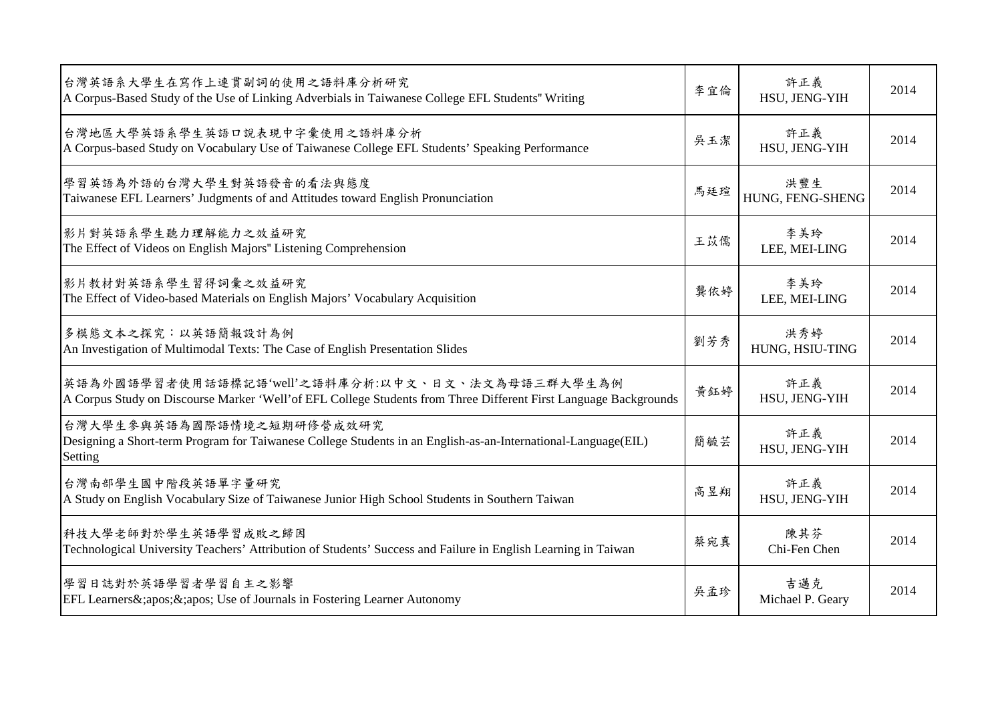| 台灣英語系大學生在寫作上連貫副詞的使用之語料庫分析研究<br>A Corpus-Based Study of the Use of Linking Adverbials in Taiwanese College EFL Students" Writing                                       | 李宜倫 | 許正義<br>HSU, JENG-YIH    | 2014 |
|-----------------------------------------------------------------------------------------------------------------------------------------------------------------------|-----|-------------------------|------|
| 台灣地區大學英語系學生英語口說表現中字彙使用之語料庫分析<br>A Corpus-based Study on Vocabulary Use of Taiwanese College EFL Students' Speaking Performance                                        | 吳玉潔 | 許正義<br>HSU, JENG-YIH    | 2014 |
| 學習英語為外語的台灣大學生對英語發音的看法與態度<br>Taiwanese EFL Learners' Judgments of and Attitudes toward English Pronunciation                                                           | 馬廷瑄 | 洪豐生<br>HUNG, FENG-SHENG | 2014 |
| 影片對英語系學生聽力理解能力之效益研究<br>The Effect of Videos on English Majors" Listening Comprehension                                                                                | 王苡儒 | 李美玲<br>LEE, MEI-LING    | 2014 |
| 影片教材對英語系學生習得詞彙之效益研究<br>The Effect of Video-based Materials on English Majors' Vocabulary Acquisition                                                                  | 龔依婷 | 李美玲<br>LEE, MEI-LING    | 2014 |
| 多模態文本之探究:以英語簡報設計為例<br>An Investigation of Multimodal Texts: The Case of English Presentation Slides                                                                   | 劉芳秀 | 洪秀婷<br>HUNG, HSIU-TING  | 2014 |
| 英語為外國語學習者使用話語標記語'well'之語料庫分析:以中文、日文、法文為母語三群大學生為例<br>A Corpus Study on Discourse Marker 'Well' of EFL College Students from Three Different First Language Backgrounds | 黄鈺婷 | 許正義<br>HSU, JENG-YIH    | 2014 |
| 台灣大學生參與英語為國際語情境之短期研修營成效研究<br>Designing a Short-term Program for Taiwanese College Students in an English-as-an-International-Language(EIL)<br>Setting                 | 簡毓芸 | 許正義<br>HSU, JENG-YIH    | 2014 |
| 台灣南部學生國中階段英語單字量研究<br>A Study on English Vocabulary Size of Taiwanese Junior High School Students in Southern Taiwan                                                   | 高昱翔 | 許正義<br>HSU, JENG-YIH    | 2014 |
| 科技大學老師對於學生英語學習成敗之歸因<br>Technological University Teachers' Attribution of Students' Success and Failure in English Learning in Taiwan                                  | 蔡宛真 | 陳其芬<br>Chi-Fen Chen     | 2014 |
| 學習日誌對於英語學習者學習自主之影響<br>EFL Learners&;apos;&;apos; Use of Journals in Fostering Learner Autonomy                                                                        | 吳孟珍 | 吉邁克<br>Michael P. Geary | 2014 |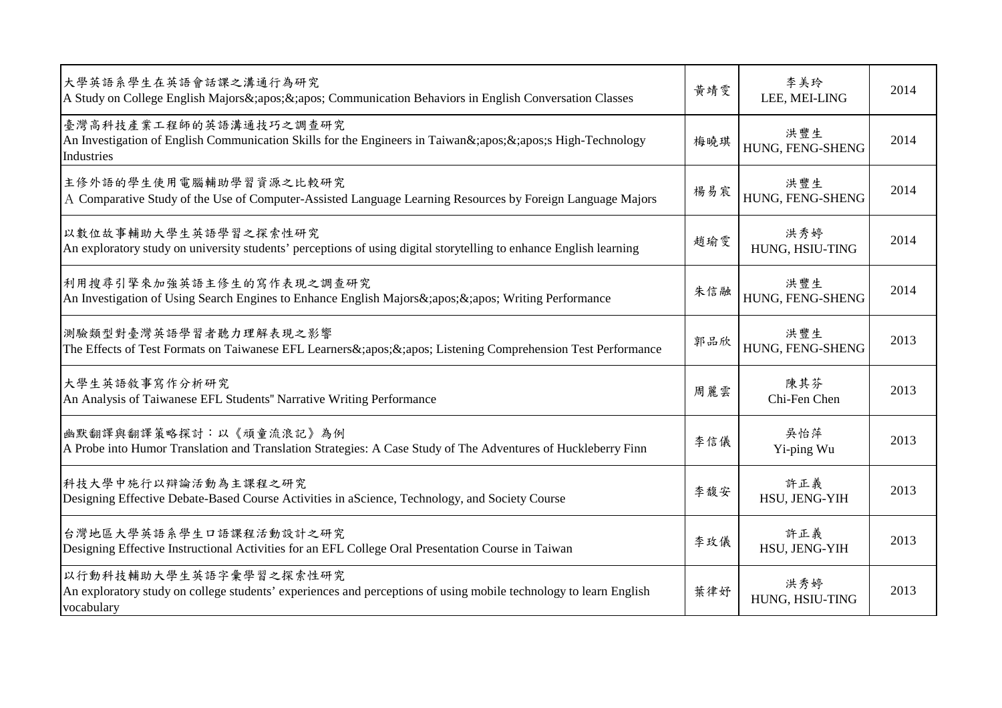| 大學英語系學生在英語會話課之溝通行為研究<br>A Study on College English Majors&;apos;&;apos; Communication Behaviors in English Conversation Classes                           | 黄靖雯 | 李美玲<br>LEE, MEI-LING    | 2014 |
|-----------------------------------------------------------------------------------------------------------------------------------------------------------|-----|-------------------------|------|
| 臺灣高科技產業工程師的英語溝通技巧之調查研究<br>An Investigation of English Communication Skills for the Engineers in Taiwan&;apos;&;apos;s High-Technology<br>Industries       | 梅曉琪 | 洪豐生<br>HUNG, FENG-SHENG | 2014 |
| 主修外語的學生使用電腦輔助學習資源之比較研究<br>A Comparative Study of the Use of Computer-Assisted Language Learning Resources by Foreign Language Majors                      | 楊易宸 | 洪豐生<br>HUNG, FENG-SHENG | 2014 |
| 以數位故事輔助大學生英語學習之探索性研究<br>An exploratory study on university students' perceptions of using digital storytelling to enhance English learning                | 趙瑜雯 | 洪秀婷<br>HUNG, HSIU-TING  | 2014 |
| 利用搜尋引擎來加強英語主修生的寫作表現之調查研究<br>An Investigation of Using Search Engines to Enhance English Majors &; apos; &; apos; Writing Performance                      | 朱信融 | 洪豐生<br>HUNG, FENG-SHENG | 2014 |
| 測驗類型對臺灣英語學習者聽力理解表現之影響<br>The Effects of Test Formats on Taiwanese EFL Learners&;apos;&;apos; Listening Comprehension Test Performance                     | 郭品欣 | 洪豐生<br>HUNG, FENG-SHENG | 2013 |
| 大學生英語敘事寫作分析研究<br>An Analysis of Taiwanese EFL Students" Narrative Writing Performance                                                                     | 周麗雲 | 陳其芬<br>Chi-Fen Chen     | 2013 |
| 幽默翻譯與翻譯策略探討:以《頑童流浪記》為例<br>A Probe into Humor Translation and Translation Strategies: A Case Study of The Adventures of Huckleberry Finn                   | 李信儀 | 吳怡萍<br>Yi-ping Wu       | 2013 |
| 科技大學中施行以辯論活動為主課程之研究<br>Designing Effective Debate-Based Course Activities in aScience, Technology, and Society Course                                     | 李馥安 | 許正義<br>HSU, JENG-YIH    | 2013 |
| 台灣地區大學英語系學生口語課程活動設計之研究<br>Designing Effective Instructional Activities for an EFL College Oral Presentation Course in Taiwan                              | 李玫儀 | 許正義<br>HSU, JENG-YIH    | 2013 |
| 以行動科技輔助大學生英語字彙學習之探索性研究<br>An exploratory study on college students' experiences and perceptions of using mobile technology to learn English<br>vocabulary | 葉律好 | 洪秀婷<br>HUNG, HSIU-TING  | 2013 |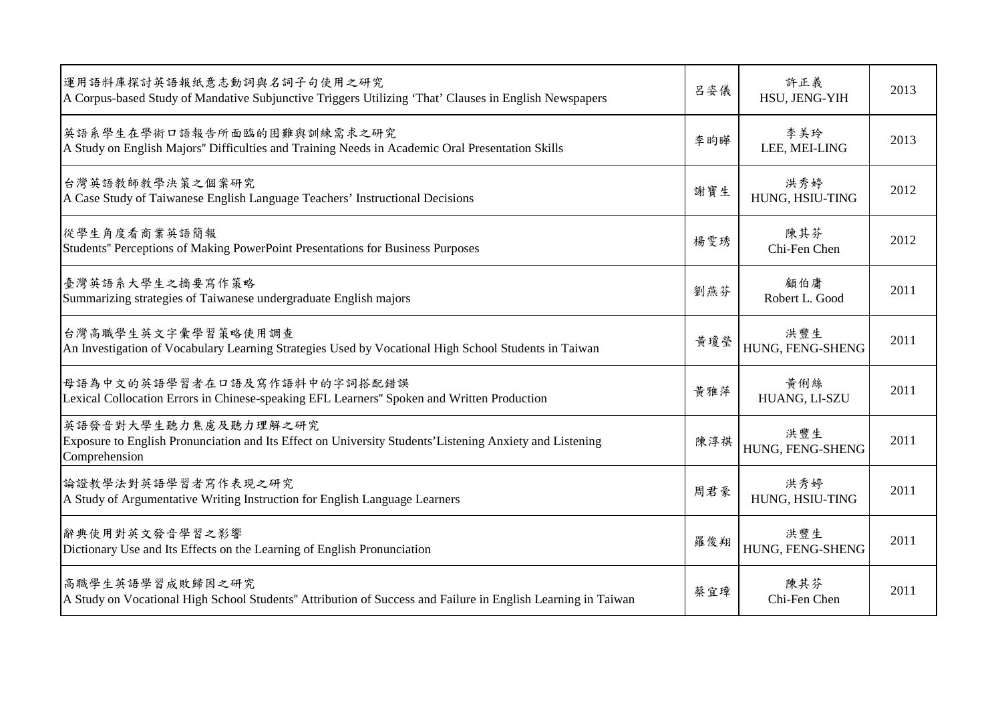| 運用語料庫探討英語報紙意志動詞與名詞子句使用之研究<br>A Corpus-based Study of Mandative Subjunctive Triggers Utilizing 'That' Clauses in English Newspapers                | 呂姿儀 | 許正義<br>HSU, JENG-YIH    | 2013 |
|---------------------------------------------------------------------------------------------------------------------------------------------------|-----|-------------------------|------|
| 英語系學生在學術口語報告所面臨的困難與訓練需求之研究<br>A Study on English Majors" Difficulties and Training Needs in Academic Oral Presentation Skills                     | 李昀曄 | 李美玲<br>LEE, MEI-LING    | 2013 |
| 台灣英語教師教學決策之個案研究<br>A Case Study of Taiwanese English Language Teachers' Instructional Decisions                                                   | 謝寶生 | 洪秀婷<br>HUNG, HSIU-TING  | 2012 |
| 從學生角度看商業英語簡報<br>Students" Perceptions of Making PowerPoint Presentations for Business Purposes                                                    | 楊雯琇 | 陳其芬<br>Chi-Fen Chen     | 2012 |
| 臺灣英語系大學生之摘要寫作策略<br>Summarizing strategies of Taiwanese undergraduate English majors                                                               | 劉燕芬 | 顧伯庸<br>Robert L. Good   | 2011 |
| 台灣高職學生英文字彙學習策略使用調查<br>An Investigation of Vocabulary Learning Strategies Used by Vocational High School Students in Taiwan                        | 黃瓊瑩 | 洪豐生<br>HUNG, FENG-SHENG | 2011 |
| 母語為中文的英語學習者在口語及寫作語料中的字詞搭配錯誤<br>Lexical Collocation Errors in Chinese-speaking EFL Learners" Spoken and Written Production                         | 黃雅萍 | 黃俐絲<br>HUANG, LI-SZU    | 2011 |
| 英語發音對大學生聽力焦慮及聽力理解之研究<br>Exposure to English Pronunciation and Its Effect on University Students' Listening Anxiety and Listening<br>Comprehension | 陳淳祺 | 洪豐生<br>HUNG, FENG-SHENG | 2011 |
| 論證教學法對英語學習者寫作表現之研究<br>A Study of Argumentative Writing Instruction for English Language Learners                                                  | 周君豪 | 洪秀婷<br>HUNG, HSIU-TING  | 2011 |
| 辭典使用對英文發音學習之影響<br>Dictionary Use and Its Effects on the Learning of English Pronunciation                                                         | 羅俊翔 | 洪豐生<br>HUNG, FENG-SHENG | 2011 |
| 高職學生英語學習成敗歸因之研究<br>A Study on Vocational High School Students" Attribution of Success and Failure in English Learning in Taiwan                   | 蔡宜璋 | 陳其芬<br>Chi-Fen Chen     | 2011 |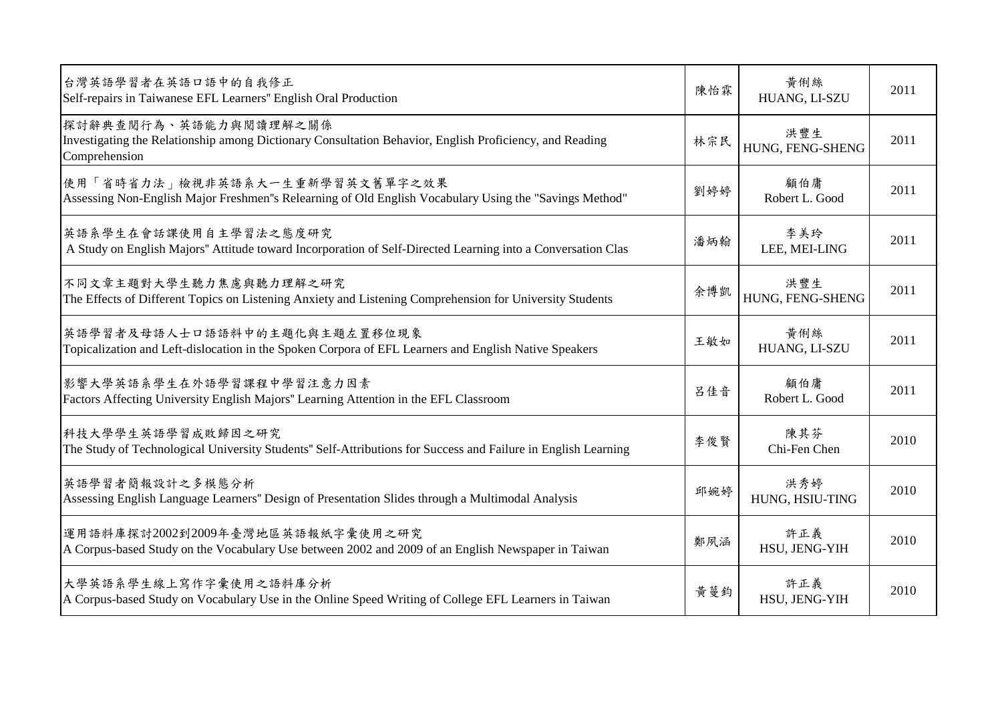| 台灣英語學習者在英語口語中的自我修正<br>Self-repairs in Taiwanese EFL Learners" English Oral Production                                                             | 陳怡霖 | 黃俐絲<br>HUANG, LI-SZU    | 2011 |
|---------------------------------------------------------------------------------------------------------------------------------------------------|-----|-------------------------|------|
| 探討辭典查閱行為、英語能力與閱讀理解之關係<br>Investigating the Relationship among Dictionary Consultation Behavior, English Proficiency, and Reading<br>Comprehension | 林宗民 | 洪豐生<br>HUNG, FENG-SHENG | 2011 |
| 使用「省時省力法」檢視非英語系大一生重新學習英文舊單字之效果<br>Assessing Non-English Major Freshmen"s Relearning of Old English Vocabulary Using the "Savings Method"          | 劉婷婷 | 顧伯庸<br>Robert L. Good   | 2011 |
| 英語系學生在會話課使用自主學習法之態度研究<br>A Study on English Majors" Attitude toward Incorporation of Self-Directed Learning into a Conversation Clas              | 潘炳翰 | 李美玲<br>LEE, MEI-LING    | 2011 |
| 不同文章主題對大學生聽力焦慮與聽力理解之研究<br>The Effects of Different Topics on Listening Anxiety and Listening Comprehension for University Students                | 余博凱 | 洪豐生<br>HUNG, FENG-SHENG | 2011 |
| 英語學習者及母語人士口語語料中的主題化與主題左置移位現象<br>Topicalization and Left-dislocation in the Spoken Corpora of EFL Learners and English Native Speakers             | 王敏如 | 黃俐絲<br>HUANG, LI-SZU    | 2011 |
| 影響大學英語系學生在外語學習課程中學習注意力因素<br>Factors Affecting University English Majors" Learning Attention in the EFL Classroom                                  | 呂佳音 | 顧伯庸<br>Robert L. Good   | 2011 |
| 科技大學學生英語學習成敗歸因之研究<br>The Study of Technological University Students" Self-Attributions for Success and Failure in English Learning                | 李俊賢 | 陳其芬<br>Chi-Fen Chen     | 2010 |
| 英語學習者簡報設計之多模態分析<br>Assessing English Language Learners" Design of Presentation Slides through a Multimodal Analysis                               | 邱婉婷 | 洪秀婷<br>HUNG, HSIU-TING  | 2010 |
| 運用語料庫探討2002到2009年臺灣地區英語報紙字彙使用之研究<br>A Corpus-based Study on the Vocabulary Use between 2002 and 2009 of an English Newspaper in Taiwan            | 鄭夙涵 | 許正義<br>HSU, JENG-YIH    | 2010 |
| 大學英語系學生線上寫作字彙使用之語料庫分析<br>A Corpus-based Study on Vocabulary Use in the Online Speed Writing of College EFL Learners in Taiwan                     | 黃蔓鈞 | 許正義<br>HSU, JENG-YIH    | 2010 |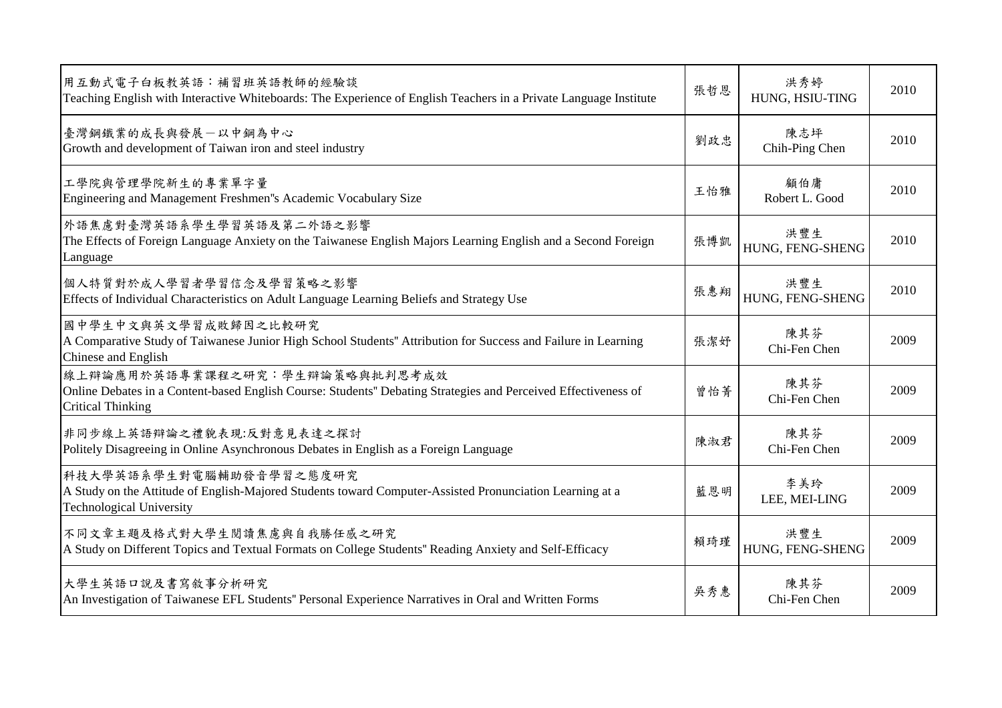| 用互動式電子白板教英語:補習班英語教師的經驗談<br>Teaching English with Interactive Whiteboards: The Experience of English Teachers in a Private Language Institute                                 | 張哲恩 | 洪秀婷<br>HUNG, HSIU-TING  | 2010 |
|------------------------------------------------------------------------------------------------------------------------------------------------------------------------------|-----|-------------------------|------|
| 臺灣鋼鐵業的成長與發展一以中鋼為中心<br>Growth and development of Taiwan iron and steel industry                                                                                               | 劉政忠 | 陳志坪<br>Chih-Ping Chen   | 2010 |
| 工學院與管理學院新生的專業單字量<br>Engineering and Management Freshmen''s Academic Vocabulary Size                                                                                          | 王怡雅 | 顧伯庸<br>Robert L. Good   | 2010 |
| 外語焦慮對臺灣英語系學生學習英語及第二外語之影響<br>The Effects of Foreign Language Anxiety on the Taiwanese English Majors Learning English and a Second Foreign<br>Language                        | 張博凱 | 洪豐生<br>HUNG, FENG-SHENG | 2010 |
| 個人特質對於成人學習者學習信念及學習策略之影響<br>Effects of Individual Characteristics on Adult Language Learning Beliefs and Strategy Use                                                         | 張惠翔 | 洪豐生<br>HUNG, FENG-SHENG | 2010 |
| 國中學生中文與英文學習成敗歸因之比較研究<br>A Comparative Study of Taiwanese Junior High School Students" Attribution for Success and Failure in Learning<br>Chinese and English                 | 張潔好 | 陳其芬<br>Chi-Fen Chen     | 2009 |
| 線上辯論應用於英語專業課程之研究︰學生辯論策略與批判思考成效<br>Online Debates in a Content-based English Course: Students" Debating Strategies and Perceived Effectiveness of<br><b>Critical Thinking</b> | 曾怡菁 | 陳其芬<br>Chi-Fen Chen     | 2009 |
| 非同步線上英語辯論之禮貌表現:反對意見表達之探討<br>Politely Disagreeing in Online Asynchronous Debates in English as a Foreign Language                                                             | 陳淑君 | 陳其芬<br>Chi-Fen Chen     | 2009 |
| 科技大學英語系學生對電腦輔助發音學習之態度研究<br>A Study on the Attitude of English-Majored Students toward Computer-Assisted Pronunciation Learning at a<br><b>Technological University</b>       | 藍恩明 | 李美玲<br>LEE, MEI-LING    | 2009 |
| 不同文章主題及格式對大學生閱讀焦慮與自我勝任感之研究<br>A Study on Different Topics and Textual Formats on College Students" Reading Anxiety and Self-Efficacy                                         | 賴琦瑾 | 洪豐生<br>HUNG, FENG-SHENG | 2009 |
| 大學生英語口說及書寫敘事分析研究<br>An Investigation of Taiwanese EFL Students" Personal Experience Narratives in Oral and Written Forms                                                     | 吳秀惠 | 陳其芬<br>Chi-Fen Chen     | 2009 |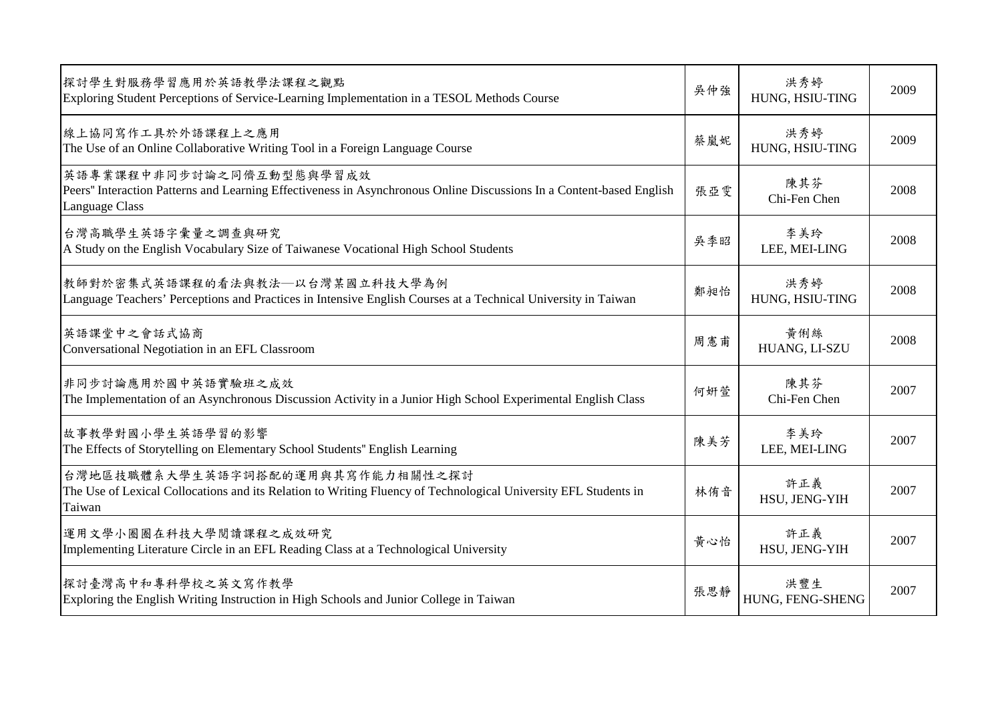| 探討學生對服務學習應用於英語教學法課程之觀點<br>Exploring Student Perceptions of Service-Learning Implementation in a TESOL Methods Course                                               | 吳仲強 | 洪秀婷<br>HUNG, HSIU-TING  | 2009 |
|--------------------------------------------------------------------------------------------------------------------------------------------------------------------|-----|-------------------------|------|
| 線上協同寫作工具於外語課程上之應用<br>The Use of an Online Collaborative Writing Tool in a Foreign Language Course                                                                  | 蔡嵐妮 | 洪秀婷<br>HUNG, HSIU-TING  | 2009 |
| 英語專業課程中非同步討論之同儕互動型態與學習成效<br>Peers" Interaction Patterns and Learning Effectiveness in Asynchronous Online Discussions In a Content-based English<br>Language Class | 張亞雯 | 陳其芬<br>Chi-Fen Chen     | 2008 |
| 台灣高職學生英語字彙量之調查與研究<br>A Study on the English Vocabulary Size of Taiwanese Vocational High School Students                                                           | 吳季昭 | 李美玲<br>LEE, MEI-LING    | 2008 |
| 教師對於密集式英語課程的看法與教法–以台灣某國立科技大學為例<br>Language Teachers' Perceptions and Practices in Intensive English Courses at a Technical University in Taiwan                    | 鄭昶怡 | 洪秀婷<br>HUNG, HSIU-TING  | 2008 |
| 英語課堂中之會話式協商<br>Conversational Negotiation in an EFL Classroom                                                                                                      | 周憲甫 | 黃俐絲<br>HUANG, LI-SZU    | 2008 |
| 非同步討論應用於國中英語實驗班之成效<br>The Implementation of an Asynchronous Discussion Activity in a Junior High School Experimental English Class                                 | 何妍萱 | 陳其芬<br>Chi-Fen Chen     | 2007 |
| 故事教學對國小學生英語學習的影響<br>The Effects of Storytelling on Elementary School Students" English Learning                                                                    | 陳美芳 | 李美玲<br>LEE, MEI-LING    | 2007 |
| 台灣地區技職體系大學生英語字詞搭配的運用與其寫作能力相關性之探討<br>The Use of Lexical Collocations and its Relation to Writing Fluency of Technological University EFL Students in<br>Taiwan      | 林侑音 | 許正義<br>HSU, JENG-YIH    | 2007 |
| 運用文學小圈圈在科技大學閱讀課程之成效研究<br>Implementing Literature Circle in an EFL Reading Class at a Technological University                                                      | 黄心怡 | 許正義<br>HSU, JENG-YIH    | 2007 |
| 探討臺灣高中和專科學校之英文寫作教學<br>Exploring the English Writing Instruction in High Schools and Junior College in Taiwan                                                       | 張思靜 | 洪豐生<br>HUNG, FENG-SHENG | 2007 |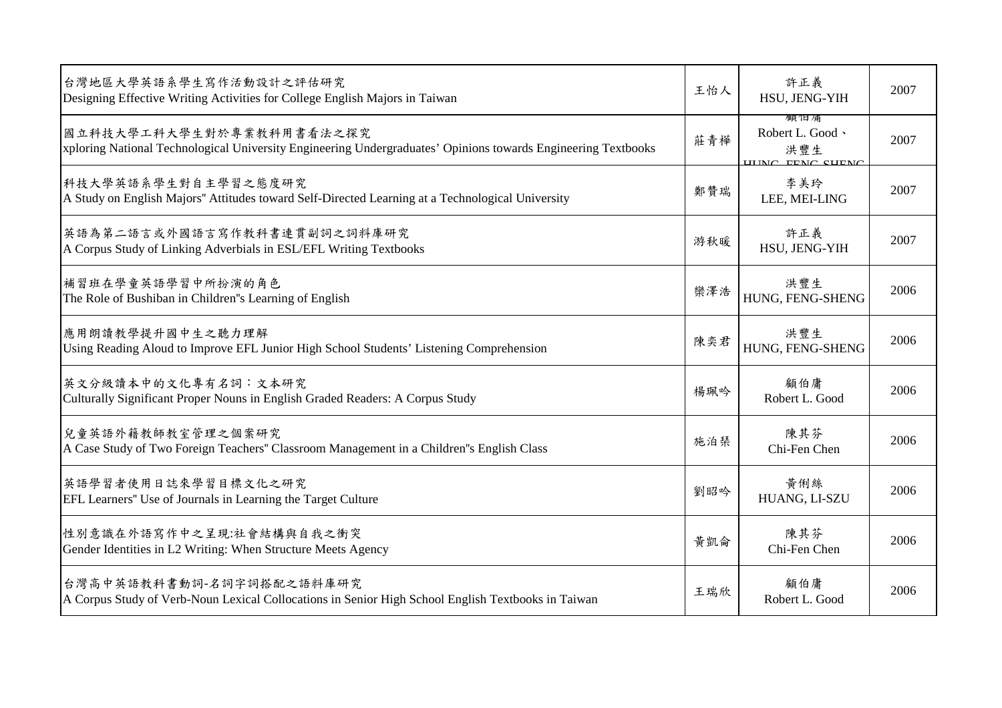| 台灣地區大學英語系學生寫作活動設計之評估研究<br>Designing Effective Writing Activities for College English Majors in Taiwan                                     | 王怡人 | 許正義<br>HSU, JENG-YIH                                        | 2007 |
|-------------------------------------------------------------------------------------------------------------------------------------------|-----|-------------------------------------------------------------|------|
| 國立科技大學工科大學生對於專業教科用書看法之探究<br>xploring National Technological University Engineering Undergraduates' Opinions towards Engineering Textbooks | 莊青樺 | /瞑1日/甬<br>Robert L. Good 、<br>洪豐生<br><b>HIMC EEMC CHEMC</b> | 2007 |
| 科技大學英語系學生對自主學習之態度研究<br>A Study on English Majors" Attitudes toward Self-Directed Learning at a Technological University                   | 鄭贊瑞 | 李美玲<br>LEE, MEI-LING                                        | 2007 |
| 英語為第二語言或外國語言寫作教科書連貫副詞之詞料庫研究<br>A Corpus Study of Linking Adverbials in ESL/EFL Writing Textbooks                                          | 游秋暖 | 許正義<br>HSU, JENG-YIH                                        | 2007 |
| 補習班在學童英語學習中所扮演的角色<br>The Role of Bushiban in Children''s Learning of English                                                              | 欒澤浩 | 洪豐生<br>HUNG, FENG-SHENG                                     | 2006 |
| 應用朗讀教學提升國中生之聽力理解<br>Using Reading Aloud to Improve EFL Junior High School Students' Listening Comprehension                               | 陳奕君 | 洪豐生<br>HUNG, FENG-SHENG                                     | 2006 |
| 英文分級讀本中的文化專有名詞:文本研究<br>Culturally Significant Proper Nouns in English Graded Readers: A Corpus Study                                      | 楊珮吟 | 顧伯庸<br>Robert L. Good                                       | 2006 |
| 兒童英語外籍教師教室管理之個案研究<br>A Case Study of Two Foreign Teachers" Classroom Management in a Children"s English Class                             | 施泊琹 | 陳其芬<br>Chi-Fen Chen                                         | 2006 |
| 英語學習者使用日誌來學習目標文化之研究<br>EFL Learners" Use of Journals in Learning the Target Culture                                                       | 劉昭吟 | 黃俐絲<br>HUANG, LI-SZU                                        | 2006 |
| 性別意識在外語寫作中之呈現:社會結構與自我之衝突<br>Gender Identities in L2 Writing: When Structure Meets Agency                                                  | 黃凱侖 | 陳其芬<br>Chi-Fen Chen                                         | 2006 |
| 台灣高中英語教科書動詞-名詞字詞搭配之語料庫研究<br>A Corpus Study of Verb-Noun Lexical Collocations in Senior High School English Textbooks in Taiwan            | 王瑞欣 | 顧伯庸<br>Robert L. Good                                       | 2006 |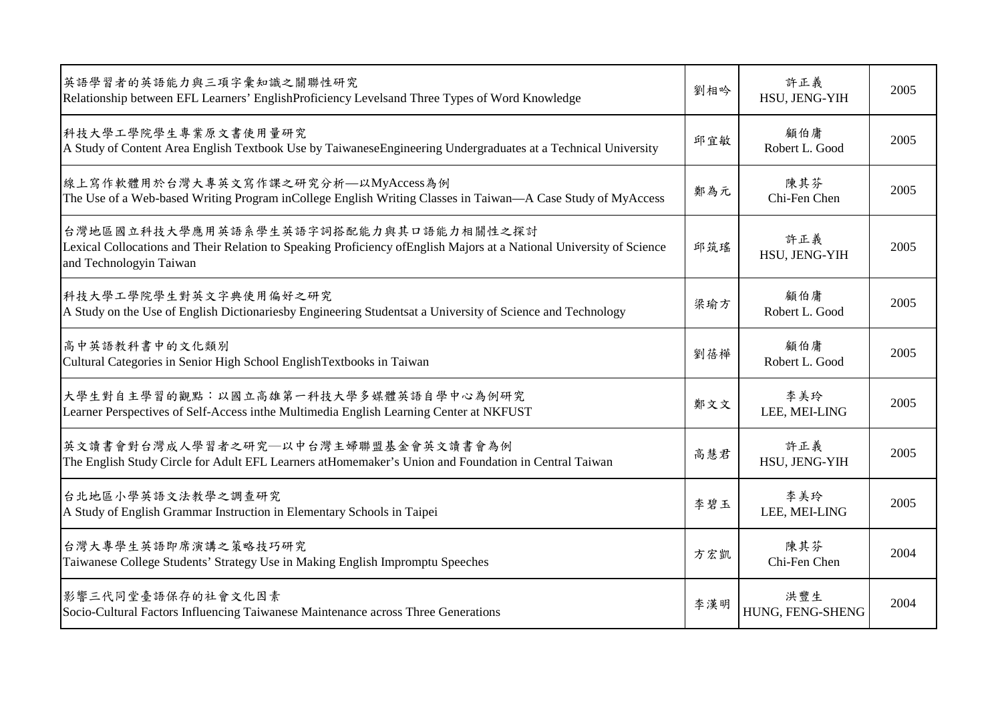| 英語學習者的英語能力與三項字彙知識之關聯性研究<br>Relationship between EFL Learners' EnglishProficiency Levelsand Three Types of Word Knowledge                                                                  | 劉相吟 | 許正義<br>HSU, JENG-YIH    | 2005 |
|-------------------------------------------------------------------------------------------------------------------------------------------------------------------------------------------|-----|-------------------------|------|
| 科技大學工學院學生專業原文書使用量研究<br>A Study of Content Area English Textbook Use by TaiwaneseEngineering Undergraduates at a Technical University                                                      | 邱宜敏 | 顧伯庸<br>Robert L. Good   | 2005 |
| 線上寫作軟體用於台灣大專英文寫作課之研究分析—以MyAccess為例<br>The Use of a Web-based Writing Program inCollege English Writing Classes in Taiwan—A Case Study of MyAccess                                         | 鄭為元 | 陳其芬<br>Chi-Fen Chen     | 2005 |
| 台灣地區國立科技大學應用英語系學生英語字詞搭配能力與其口語能力相關性之探討<br>Lexical Collocations and Their Relation to Speaking Proficiency of English Majors at a National University of Science<br>and Technologyin Taiwan | 邱筑瑤 | 許正義<br>HSU, JENG-YIH    | 2005 |
| 科技大學工學院學生對英文字典使用偏好之研究<br>A Study on the Use of English Dictionariesby Engineering Studentsat a University of Science and Technology                                                       | 梁瑜方 | 顧伯庸<br>Robert L. Good   | 2005 |
| 高中英語教科書中的文化類別<br>Cultural Categories in Senior High School English Textbooks in Taiwan                                                                                                    | 劉蓓樺 | 顧伯庸<br>Robert L. Good   | 2005 |
| 大學生對自主學習的觀點:以國立高雄第一科技大學多媒體英語自學中心為例研究<br>Learner Perspectives of Self-Access inthe Multimedia English Learning Center at NKFUST                                                            | 鄭文文 | 李美玲<br>LEE, MEI-LING    | 2005 |
| 英文讀書會對台灣成人學習者之研究—以中台灣主婦聯盟基金會英文讀書會為例<br>The English Study Circle for Adult EFL Learners at Homemaker's Union and Foundation in Central Taiwan                                              | 高慧君 | 許正義<br>HSU, JENG-YIH    | 2005 |
| 台北地區小學英語文法教學之調查研究<br>A Study of English Grammar Instruction in Elementary Schools in Taipei                                                                                               | 李碧玉 | 李美玲<br>LEE, MEI-LING    | 2005 |
| 台灣大專學生英語即席演講之策略技巧研究<br>Taiwanese College Students' Strategy Use in Making English Impromptu Speeches                                                                                      | 方宏凱 | 陳其芬<br>Chi-Fen Chen     | 2004 |
| 影響三代同堂臺語保存的社會文化因素<br>Socio-Cultural Factors Influencing Taiwanese Maintenance across Three Generations                                                                                    | 李漢明 | 洪豐生<br>HUNG, FENG-SHENG | 2004 |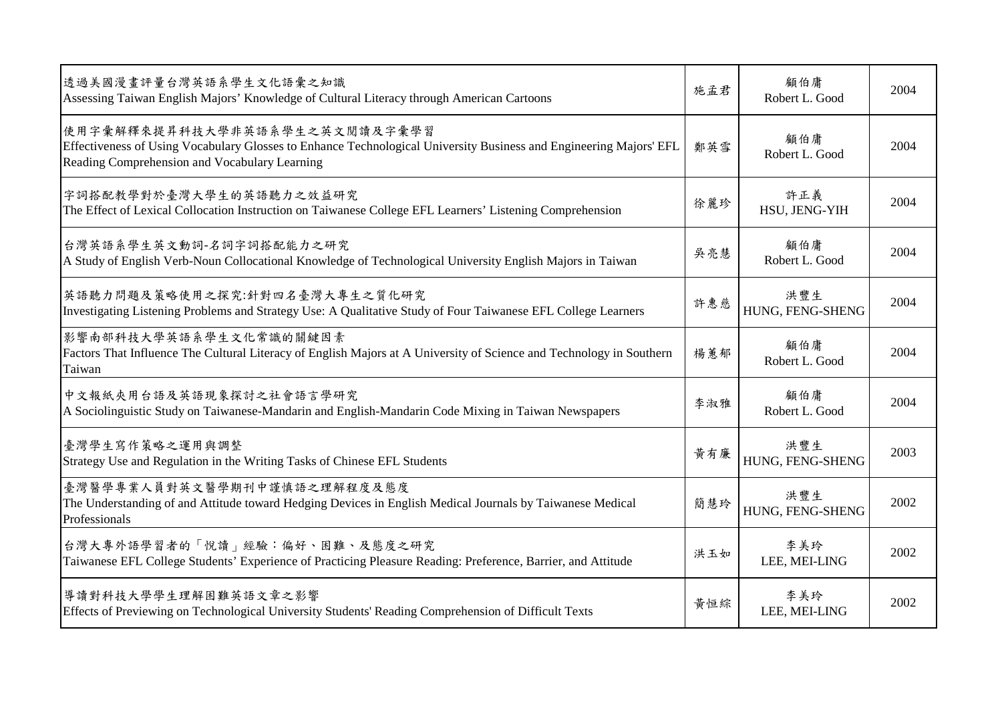| 透過美國漫畫評量台灣英語系學生文化語彙之知識<br>Assessing Taiwan English Majors' Knowledge of Cultural Literacy through American Cartoons                                                                                  | 施孟君 | 顧伯庸<br>Robert L. Good   | 2004 |
|------------------------------------------------------------------------------------------------------------------------------------------------------------------------------------------------------|-----|-------------------------|------|
| 使用字彙解釋來提昇科技大學非英語系學生之英文閱讀及字彙學習<br>Effectiveness of Using Vocabulary Glosses to Enhance Technological University Business and Engineering Majors' EFL<br>Reading Comprehension and Vocabulary Learning | 鄭英雪 | 顧伯庸<br>Robert L. Good   | 2004 |
| 字詞搭配教學對於臺灣大學生的英語聽力之效益研究<br>The Effect of Lexical Collocation Instruction on Taiwanese College EFL Learners' Listening Comprehension                                                                  | 徐麗珍 | 許正義<br>HSU, JENG-YIH    | 2004 |
| 台灣英語系學生英文動詞-名詞字詞搭配能力之研究<br>A Study of English Verb-Noun Collocational Knowledge of Technological University English Majors in Taiwan                                                                 | 吳亮慧 | 顧伯庸<br>Robert L. Good   | 2004 |
| 英語聽力問題及策略使用之探究:針對四名臺灣大專生之質化研究<br>Investigating Listening Problems and Strategy Use: A Qualitative Study of Four Taiwanese EFL College Learners                                                       | 許惠慈 | 洪豐生<br>HUNG, FENG-SHENG | 2004 |
| 影響南部科技大學英語系學生文化常識的關鍵因素<br>Factors That Influence The Cultural Literacy of English Majors at A University of Science and Technology in Southern<br>Taiwan                                             | 楊蕙郁 | 顧伯庸<br>Robert L. Good   | 2004 |
| 中文報紙夾用台語及英語現象探討之社會語言學研究<br>A Sociolinguistic Study on Taiwanese-Mandarin and English-Mandarin Code Mixing in Taiwan Newspapers                                                                       | 李淑雅 | 顧伯庸<br>Robert L. Good   | 2004 |
| 臺灣學生寫作策略之運用與調整<br>Strategy Use and Regulation in the Writing Tasks of Chinese EFL Students                                                                                                           | 黃有廉 | 洪豐生<br>HUNG, FENG-SHENG | 2003 |
| 臺灣醫學專業人員對英文醫學期刊中謹慎語之理解程度及態度<br>The Understanding of and Attitude toward Hedging Devices in English Medical Journals by Taiwanese Medical<br>Professionals                                            | 簡慧玲 | 洪豐生<br>HUNG, FENG-SHENG | 2002 |
| 台灣大專外語學習者的「悅讀」經驗:偏好、困難、及態度之研究<br>Taiwanese EFL College Students' Experience of Practicing Pleasure Reading: Preference, Barrier, and Attitude                                                        | 洪玉如 | 李美玲<br>LEE, MEI-LING    | 2002 |
| 導讀對科技大學學生理解困難英語文章之影響<br>Effects of Previewing on Technological University Students' Reading Comprehension of Difficult Texts                                                                         | 黃恒綜 | 李美玲<br>LEE, MEI-LING    | 2002 |